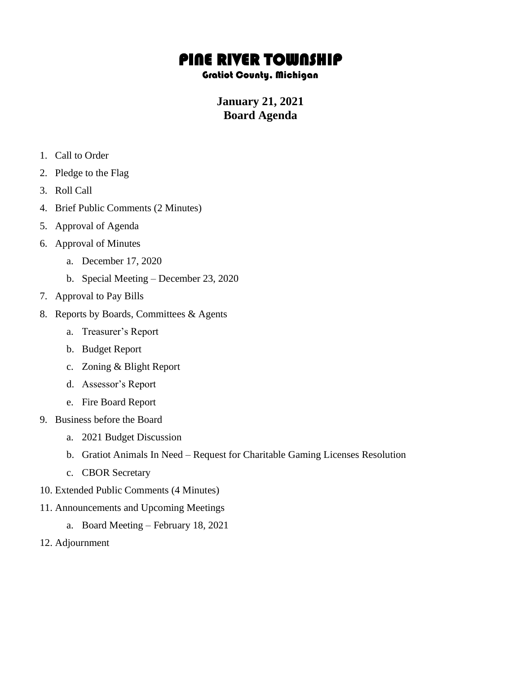## PINE RIVER TOWNSHIP

## Gratiot County, Michigan

## **January 21, 2021 Board Agenda**

- 1. Call to Order
- 2. Pledge to the Flag
- 3. Roll Call
- 4. Brief Public Comments (2 Minutes)
- 5. Approval of Agenda
- 6. Approval of Minutes
	- a. December 17, 2020
	- b. Special Meeting December 23, 2020
- 7. Approval to Pay Bills
- 8. Reports by Boards, Committees & Agents
	- a. Treasurer's Report
	- b. Budget Report
	- c. Zoning & Blight Report
	- d. Assessor's Report
	- e. Fire Board Report
- 9. Business before the Board
	- a. 2021 Budget Discussion
	- b. Gratiot Animals In Need Request for Charitable Gaming Licenses Resolution
	- c. CBOR Secretary
- 10. Extended Public Comments (4 Minutes)
- 11. Announcements and Upcoming Meetings
	- a. Board Meeting February 18, 2021
- 12. Adjournment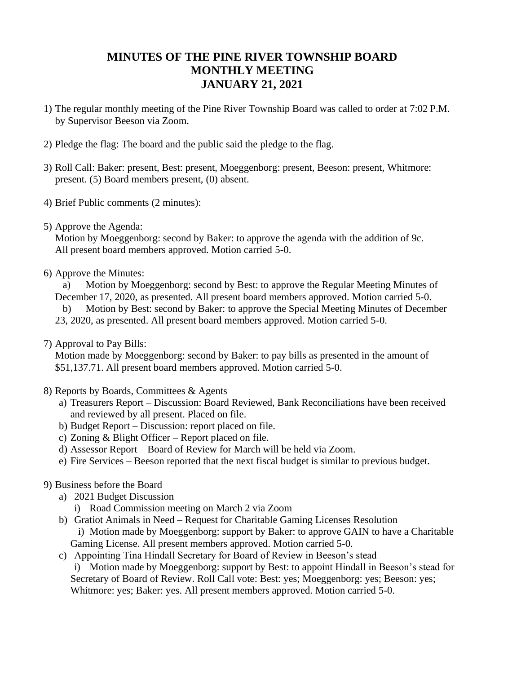## **MINUTES OF THE PINE RIVER TOWNSHIP BOARD MONTHLY MEETING JANUARY 21, 2021**

- 1) The regular monthly meeting of the Pine River Township Board was called to order at 7:02 P.M. by Supervisor Beeson via Zoom.
- 2) Pledge the flag: The board and the public said the pledge to the flag.
- 3) Roll Call: Baker: present, Best: present, Moeggenborg: present, Beeson: present, Whitmore: present. (5) Board members present, (0) absent.
- 4) Brief Public comments (2 minutes):
- 5) Approve the Agenda:

Motion by Moeggenborg: second by Baker: to approve the agenda with the addition of 9c. All present board members approved. Motion carried 5-0.

6) Approve the Minutes:

a) Motion by Moeggenborg: second by Best: to approve the Regular Meeting Minutes of December 17, 2020, as presented. All present board members approved. Motion carried 5-0. b) Motion by Best: second by Baker: to approve the Special Meeting Minutes of December 23, 2020, as presented. All present board members approved. Motion carried 5-0.

7) Approval to Pay Bills:

Motion made by Moeggenborg: second by Baker: to pay bills as presented in the amount of \$51,137.71. All present board members approved. Motion carried 5-0.

- 8) Reports by Boards, Committees & Agents
	- a) Treasurers Report Discussion: Board Reviewed, Bank Reconciliations have been received and reviewed by all present. Placed on file.
	- b) Budget Report Discussion: report placed on file.
	- c) Zoning & Blight Officer Report placed on file.
	- d) Assessor Report Board of Review for March will be held via Zoom.
	- e) Fire Services Beeson reported that the next fiscal budget is similar to previous budget.
- 9) Business before the Board
	- a) 2021 Budget Discussion
		- i) Road Commission meeting on March 2 via Zoom
	- b) Gratiot Animals in Need Request for Charitable Gaming Licenses Resolution i) Motion made by Moeggenborg: support by Baker: to approve GAIN to have a Charitable Gaming License. All present members approved. Motion carried 5-0.
	- c) Appointing Tina Hindall Secretary for Board of Review in Beeson's stead

i) Motion made by Moeggenborg: support by Best: to appoint Hindall in Beeson's stead for Secretary of Board of Review. Roll Call vote: Best: yes; Moeggenborg: yes; Beeson: yes; Whitmore: yes; Baker: yes. All present members approved. Motion carried 5-0.